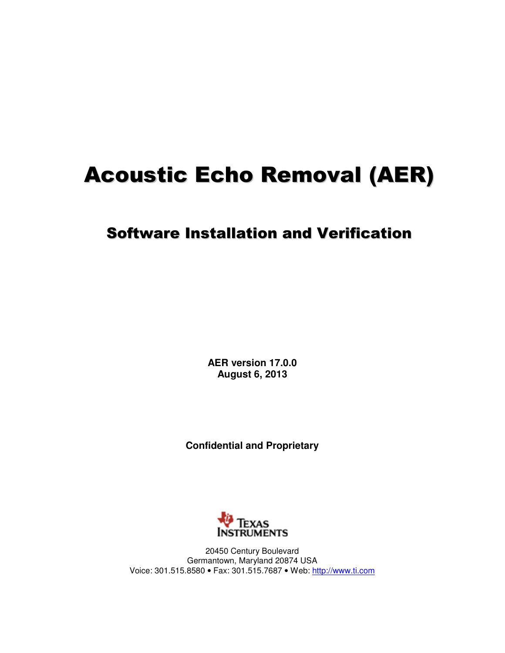# Acoustic Echo Removal (AER)

# Software Installation and Verification

**AER version 17.0.0 August 6, 2013** 

**Confidential and Proprietary** 



20450 Century Boulevard Germantown, Maryland 20874 USA Voice: 301.515.8580 • Fax: 301.515.7687 • Web: http://www.ti.com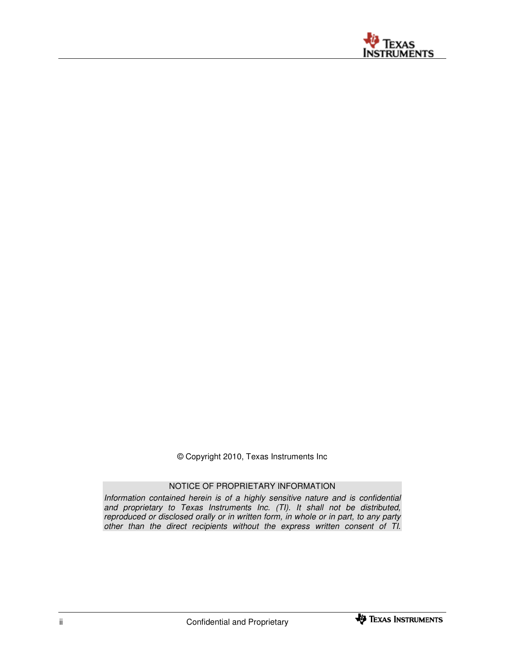

© Copyright 2010, Texas Instruments Inc

#### NOTICE OF PROPRIETARY INFORMATION

Information contained herein is of a highly sensitive nature and is confidential and proprietary to Texas Instruments Inc. (TI). It shall not be distributed, reproduced or disclosed orally or in written form, in whole or in part, to any party other than the direct recipients without the express written consent of TI.

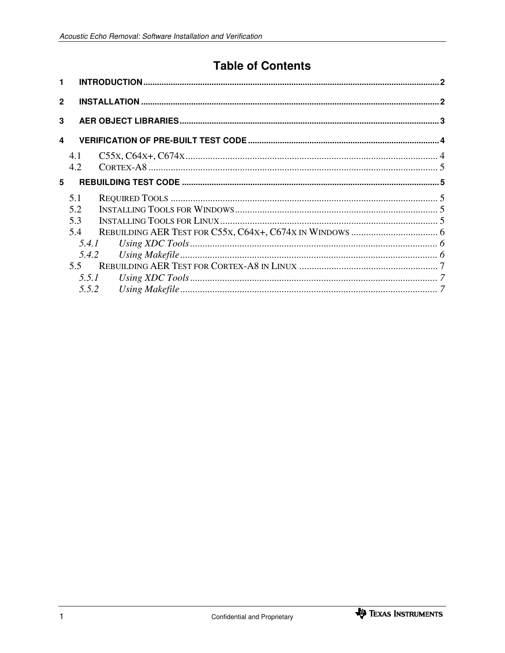# **Table of Contents**

| 4.1           |                         |
|---------------|-------------------------|
| 4.2           |                         |
|               |                         |
| 5.1           |                         |
| 5.2           |                         |
| 5.3           |                         |
| 5.4           |                         |
|               |                         |
|               |                         |
| $5.5^{\circ}$ |                         |
|               |                         |
|               |                         |
|               | 5.4.1<br>5.5.1<br>5.5.2 |

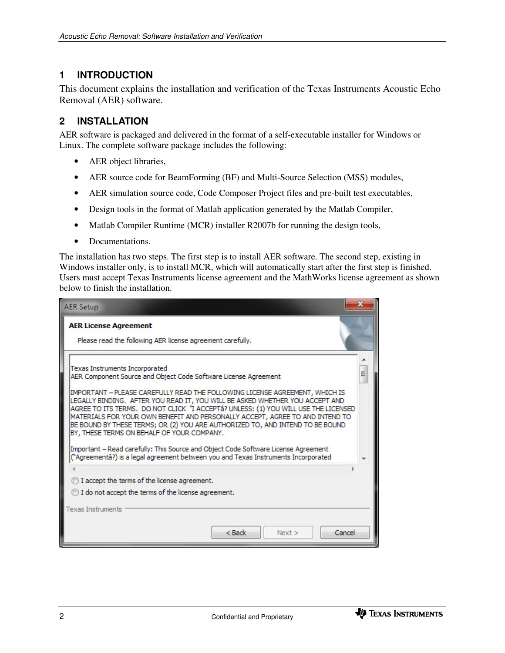## **1 INTRODUCTION**

This document explains the installation and verification of the Texas Instruments Acoustic Echo Removal (AER) software.

### **2 INSTALLATION**

AER software is packaged and delivered in the format of a self-executable installer for Windows or Linux. The complete software package includes the following:

- AER object libraries,
- AER source code for BeamForming (BF) and Multi-Source Selection (MSS) modules,
- AER simulation source code, Code Composer Project files and pre-built test executables,
- Design tools in the format of Matlab application generated by the Matlab Compiler,
- Matlab Compiler Runtime (MCR) installer R2007b for running the design tools,
- Documentations.

The installation has two steps. The first step is to install AER software. The second step, existing in Windows installer only, is to install MCR, which will automatically start after the first step is finished. Users must accept Texas Instruments license agreement and the MathWorks license agreement as shown below to finish the installation.

| <b>AER Setup</b>                                                                                                                                                                                                                                                                                                                                                                                                                                               |  |  |  |  |
|----------------------------------------------------------------------------------------------------------------------------------------------------------------------------------------------------------------------------------------------------------------------------------------------------------------------------------------------------------------------------------------------------------------------------------------------------------------|--|--|--|--|
| <b>AER License Agreement</b><br>Please read the following AER license agreement carefully.                                                                                                                                                                                                                                                                                                                                                                     |  |  |  |  |
| Texas Instruments Incorporated<br>AER Component Source and Object Code Software License Agreement                                                                                                                                                                                                                                                                                                                                                              |  |  |  |  |
| IMPORTANT - PLEASE CAREFULLY READ THE FOLLOWING LICENSE AGREEMENT, WHICH IS<br>LEGALLY BINDING. AFTER YOU READ IT, YOU WILL BE ASKED WHETHER YOU ACCEPT AND<br>AGREE TO ITS TERMS,DO NOT CLICK"I ACCEPTÂ? UNLESS: (1) YOU WILL USE THE LICENSED<br>MATERIALS FOR YOUR OWN BENEFIT AND PERSONALLY ACCEPT, AGREE TO AND INTEND TO<br>BE BOUND BY THESE TERMS; OR (2) YOU ARE AUTHORIZED TO, AND INTEND TO BE BOUND<br>BY, THESE TERMS ON BEHALF OF YOUR COMPANY. |  |  |  |  |
| Important – Read carefully: This Source and Object Code Software License Agreement<br>("Agreementâ?) is a legal agreement between you and Texas Instruments Incorporated                                                                                                                                                                                                                                                                                       |  |  |  |  |
|                                                                                                                                                                                                                                                                                                                                                                                                                                                                |  |  |  |  |
| I accept the terms of the license agreement.                                                                                                                                                                                                                                                                                                                                                                                                                   |  |  |  |  |
| ightharpoonup I do not accept the terms of the license agreement.                                                                                                                                                                                                                                                                                                                                                                                              |  |  |  |  |
| <b>Texas Instruments</b>                                                                                                                                                                                                                                                                                                                                                                                                                                       |  |  |  |  |
| $<$ Back<br>Cancel<br>Next >                                                                                                                                                                                                                                                                                                                                                                                                                                   |  |  |  |  |

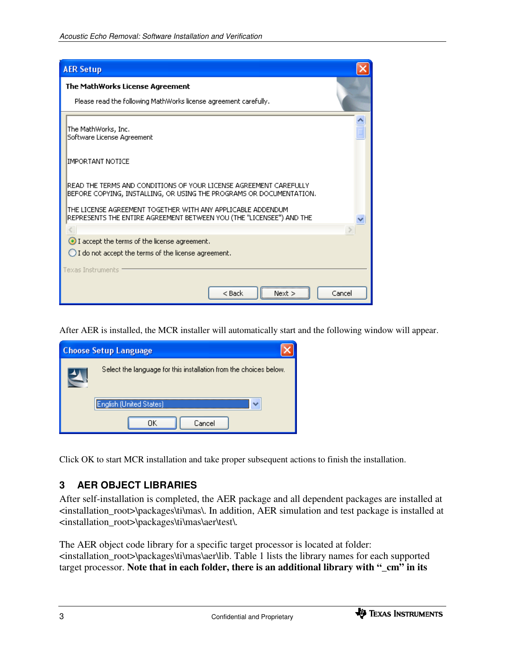| <b>AER Setup</b>                                                                                                                         |  |  |  |  |
|------------------------------------------------------------------------------------------------------------------------------------------|--|--|--|--|
| The MathWorks License Agreement                                                                                                          |  |  |  |  |
| Please read the following MathWorks license agreement carefully.                                                                         |  |  |  |  |
| The MathWorks, Inc.<br>Software License Agreement                                                                                        |  |  |  |  |
| IMPORTANT NOTICE                                                                                                                         |  |  |  |  |
| READ THE TERMS AND CONDITIONS OF YOUR LICENSE AGREEMENT CAREFULLY<br>BEFORE COPYING, INSTALLING, OR USING THE PROGRAMS OR DOCUMENTATION. |  |  |  |  |
| THE LICENSE AGREEMENT TOGETHER WITH ANY APPLICABLE ADDENDUM<br>REPRESENTS THE ENTIRE AGREEMENT BETWEEN YOU (THE "LICENSEE") AND THE      |  |  |  |  |
|                                                                                                                                          |  |  |  |  |
| I accept the terms of the license agreement.                                                                                             |  |  |  |  |
| $\bigcirc$ I do not accept the terms of the license agreement.                                                                           |  |  |  |  |
| <b>Texas Instruments</b>                                                                                                                 |  |  |  |  |
| $<$ Back<br>Cancel<br>Next >                                                                                                             |  |  |  |  |

After AER is installed, the MCR installer will automatically start and the following window will appear.

| <b>Choose Setup Language</b>                                      |                                |  |  |  |  |  |  |
|-------------------------------------------------------------------|--------------------------------|--|--|--|--|--|--|
| Select the language for this installation from the choices below. |                                |  |  |  |  |  |  |
|                                                                   | <b>English (United States)</b> |  |  |  |  |  |  |
|                                                                   | Cancel<br>ΠK                   |  |  |  |  |  |  |

Click OK to start MCR installation and take proper subsequent actions to finish the installation.

### **3 AER OBJECT LIBRARIES**

After self-installation is completed, the AER package and all dependent packages are installed at <installation\_root>\packages\ti\mas\. In addition, AER simulation and test package is installed at <installation\_root>\packages\ti\mas\aer\test\.

The AER object code library for a specific target processor is located at folder: <installation\_root>\packages\ti\mas\aer\lib. Table 1 lists the library names for each supported target processor. **Note that in each folder, there is an additional library with "\_cm" in its** 

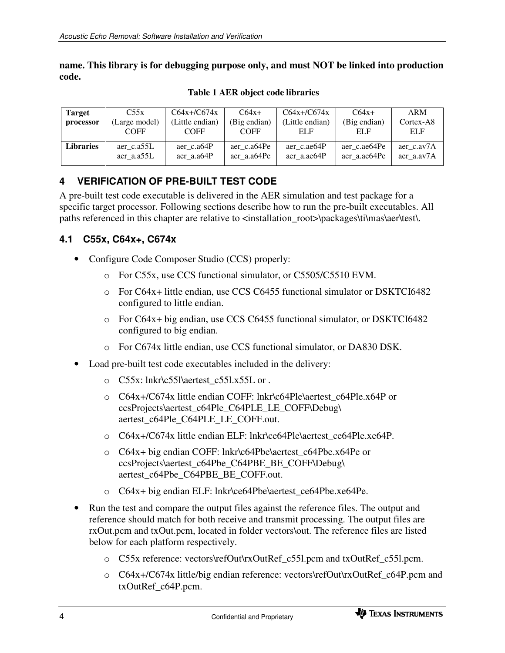**name. This library is for debugging purpose only, and must NOT be linked into production code.** 

| <b>Target</b>    | C55x          | $C64x+/C674x$   | $C64x+$      | $C64x+/C674x$   | $C64x+$      | <b>ARM</b> |
|------------------|---------------|-----------------|--------------|-----------------|--------------|------------|
| processor        | (Large model) | (Little endian) | (Big endian) | (Little endian) | (Big endian) | Cortex-A8  |
|                  | <b>COFF</b>   | <b>COFF</b>     | <b>COFF</b>  | ELF             | ELF          | ELF        |
| <b>Libraries</b> | aer c.a55L    | aer c.a64P      | aer c.a64Pe  | aer c.ae64P     | aer c.ae64Pe | aer c.av7A |
|                  | aer a.a55L    | aer a.a64P      | aer a.a64Pe  | aer a.ae64P     | aer a.ae64Pe | aer a.av7A |

 **Table 1 AER object code libraries** 

### **4 VERIFICATION OF PRE-BUILT TEST CODE**

A pre-built test code executable is delivered in the AER simulation and test package for a specific target processor. Following sections describe how to run the pre-built executables. All paths referenced in this chapter are relative to <installation\_root>\packages\ti\mas\aer\test\.

#### **4.1 C55x, C64x+, C674x**

- Configure Code Composer Studio (CCS) properly:
	- o For C55x, use CCS functional simulator, or C5505/C5510 EVM.
	- o For C64x+ little endian, use CCS C6455 functional simulator or DSKTCI6482 configured to little endian.
	- o For C64x+ big endian, use CCS C6455 functional simulator, or DSKTCI6482 configured to big endian.
	- o For C674x little endian, use CCS functional simulator, or DA830 DSK.
- Load pre-built test code executables included in the delivery:
	- o C55x: lnkr\c55l\aertest\_c55l.x55L or .
	- o C64x+/C674x little endian COFF: lnkr\c64Ple\aertest\_c64Ple.x64P or ccsProjects\aertest\_c64Ple\_C64PLE\_LE\_COFF\Debug\ aertest\_c64Ple\_C64PLE\_LE\_COFF.out.
	- o C64x+/C674x little endian ELF: lnkr\ce64Ple\aertest\_ce64Ple.xe64P.
	- o C64x+ big endian COFF: lnkr\c64Pbe\aertest\_c64Pbe.x64Pe or ccsProjects\aertest\_c64Pbe\_C64PBE\_BE\_COFF\Debug\ aertest\_c64Pbe\_C64PBE\_BE\_COFF.out.
	- o C64x+ big endian ELF: lnkr\ce64Pbe\aertest\_ce64Pbe.xe64Pe.
- Run the test and compare the output files against the reference files. The output and reference should match for both receive and transmit processing. The output files are rxOut.pcm and txOut.pcm, located in folder vectors\out. The reference files are listed below for each platform respectively.
	- o C55x reference: vectors\refOut\rxOutRef\_c55l.pcm and txOutRef\_c55l.pcm.
	- o C64x+/C674x little/big endian reference: vectors\refOut\rxOutRef\_c64P.pcm and txOutRef\_c64P.pcm.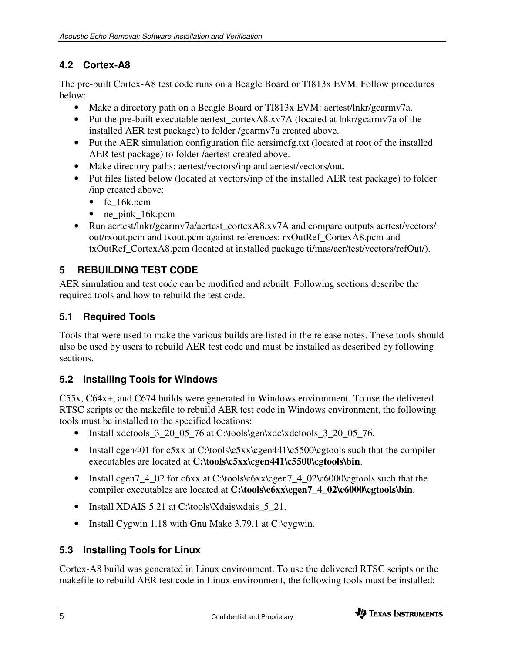# **4.2 Cortex-A8**

The pre-built Cortex-A8 test code runs on a Beagle Board or TI813x EVM. Follow procedures below:

- Make a directory path on a Beagle Board or TI813x EVM: aertest/lnkr/gcarmv7a.
- Put the pre-built executable aertest cortexA8.xv7A (located at lnkr/gcarmv7a of the installed AER test package) to folder /gcarmv7a created above.
- Put the AER simulation configuration file aersimcfg.txt (located at root of the installed AER test package) to folder /aertest created above.
- Make directory paths: aertest/vectors/inp and aertest/vectors/out.
- Put files listed below (located at vectors/inp of the installed AER test package) to folder /inp created above:
	- fe 16k.pcm
	- ne pink 16k.pcm
- Run aertest/lnkr/gcarmv7a/aertest\_cortexA8.xv7A and compare outputs aertest/vectors/ out/rxout.pcm and txout.pcm against references: rxOutRef\_CortexA8.pcm and txOutRef\_CortexA8.pcm (located at installed package ti/mas/aer/test/vectors/refOut/).

# **5 REBUILDING TEST CODE**

AER simulation and test code can be modified and rebuilt. Following sections describe the required tools and how to rebuild the test code.

# **5.1 Required Tools**

Tools that were used to make the various builds are listed in the release notes. These tools should also be used by users to rebuild AER test code and must be installed as described by following sections.

### **5.2 Installing Tools for Windows**

C55x, C64x+, and C674 builds were generated in Windows environment. To use the delivered RTSC scripts or the makefile to rebuild AER test code in Windows environment, the following tools must be installed to the specified locations:

- Install xdctools\_ $3\_20\_05\_76$  at C:\tools\gen\xdc\xdctools\_3\_20\_05\_76.
- Install cgen401 for c5xx at C:\tools\c5xx\cgen441\c5500\cgtools such that the compiler executables are located at **C:\tools\c5xx\cgen441\c5500\cgtools\bin**.
- Install cgen7\_4\_02 for c6xx at C:\tools\c6xx\cgen7\_4\_02\c6000\cgtools such that the compiler executables are located at **C:\tools\c6xx\cgen7\_4\_02\c6000\cgtools\bin**.
- Install XDAIS 5.21 at C:\tools\Xdais\xdais\_5\_21.
- Install Cygwin 1.18 with Gnu Make 3.79.1 at C:\cygwin.

### **5.3 Installing Tools for Linux**

Cortex-A8 build was generated in Linux environment. To use the delivered RTSC scripts or the makefile to rebuild AER test code in Linux environment, the following tools must be installed: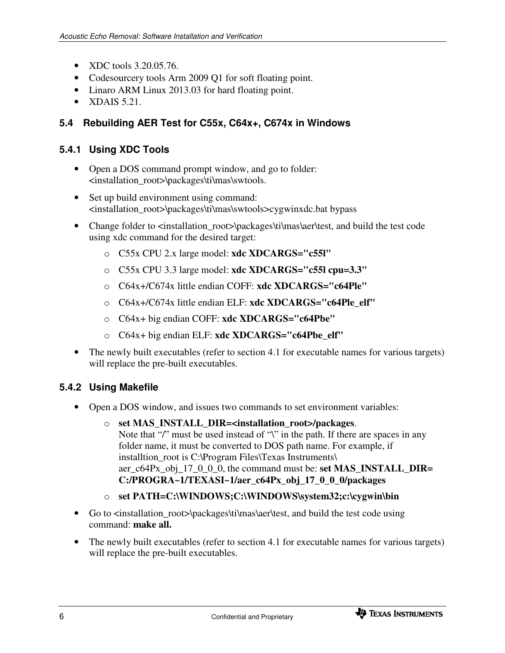- XDC tools 3.20.05.76.
- Codesourcery tools Arm 2009 Q1 for soft floating point.
- Linaro ARM Linux 2013.03 for hard floating point.
- XDAIS  $5.21$ .

# **5.4 Rebuilding AER Test for C55x, C64x+, C674x in Windows**

#### **5.4.1 Using XDC Tools**

- Open a DOS command prompt window, and go to folder: <installation\_root>\packages\ti\mas\swtools.
- Set up build environment using command: <installation\_root>\packages\ti\mas\swtools>cygwinxdc.bat bypass
- Change folder to <installation\_root>\packages\ti\mas\aer\test, and build the test code using xdc command for the desired target:
	- o C55x CPU 2.x large model: **xdc XDCARGS="c55l"**
	- o C55x CPU 3.3 large model: **xdc XDCARGS="c55l cpu=3.3"**
	- o C64x+/C674x little endian COFF: **xdc XDCARGS="c64Ple"**
	- o C64x+/C674x little endian ELF: **xdc XDCARGS="c64Ple\_elf"**
	- o C64x+ big endian COFF: **xdc XDCARGS="c64Pbe"**
	- o C64x+ big endian ELF: **xdc XDCARGS="c64Pbe\_elf"**
- The newly built executables (refer to section 4.1 for executable names for various targets) will replace the pre-built executables.

# **5.4.2 Using Makefile**

- Open a DOS window, and issues two commands to set environment variables:
	- o **set MAS\_INSTALL\_DIR=<installation\_root>/packages**. Note that "/" must be used instead of "\" in the path. If there are spaces in any folder name, it must be converted to DOS path name. For example, if installtion\_root is C:\Program Files\Texas Instruments\ aer\_c64Px\_obj\_17\_0\_0\_0, the command must be: **set MAS\_INSTALL\_DIR= C:/PROGRA~1/TEXASI~1/aer\_c64Px\_obj\_17\_0\_0\_0/packages**
	- o **set PATH=C:\WINDOWS;C:\WINDOWS\system32;c:\cygwin\bin**
- Go to <installation\_root>\packages\ti\mas\aer\test, and build the test code using command: **make all.**
- The newly built executables (refer to section 4.1 for executable names for various targets) will replace the pre-built executables.